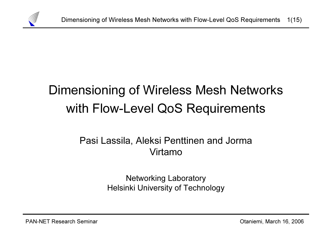

# Dimensioning of Wireless Mesh Networks with Flow-Level QoS Requirements

# Pasi Lassila, Aleksi Penttinen and Jorma Virtamo

Networking Laboratory Helsinki University of Technology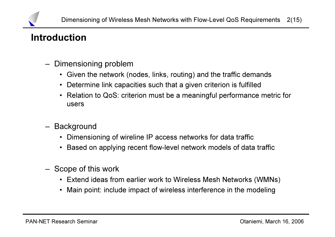

## Introduction

- – Dimensioning problem
	- Given the network (nodes, links, routing) and the traffic demands
	- Determine link capacities such that a given criterion is fulfilled
	- Relation to QoS: criterion must be a meaningful performance metric for users
- – Background
	- Dimensioning of wireline IP access networks for data traffic
	- Based on applying recent flow-level network models of data traffic
- – Scope of this work
	- Extend ideas from earlier work to Wireless Mesh Networks (WMNs)
	- Main point: include impact of wireless interference in the modeling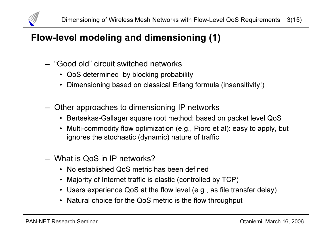

# Flow-level modeling and dimensioning (1)

- "Good old" circuit switched networks
	- QoS determined by blocking probability
	- Dimensioning based on classical Erlang formula (insensitivity!)
- – Other approaches to dimensioning IP networks
	- Bertsekas-Gallager square root method: based on packet level QoS
	- Multi-commodity flow optimization (e.g., Pioro et al): easy to apply, but ignores the stochastic (dynamic) nature of traffic
- What is QoS in IP networks?
	- No established QoS metric has been defined
	- Majority of Internet traffic is elastic (controlled by TCP)
	- Users experience QoS at the flow level (e.g., as file transfer delay)
	- Natural choice for the QoS metric is the flow throughput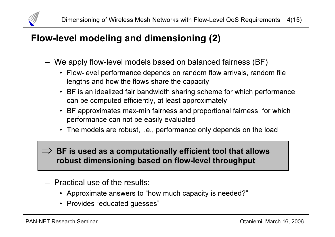

# Flow-level modeling and dimensioning (2)

- – We apply flow-level models based on balanced fairness (BF)
	- Flow-level performance depends on random flow arrivals, random file lengths and how the flows share the capacity
	- BF is an idealized fair bandwidth sharing scheme for which performance can be computed efficiently, at least approximately
	- BF approximates max-min fairness and proportional fairness, for which performance can not be easily evaluated
	- The models are robust, i.e., performance only depends on the load

#### $\implies$  BF is used as a computationally efficient tool that allows robust dimensioning based on flow-level throughput

- Practical use of the results:
	- Approximate answers to "how much capacity is needed?"
	- Provides "educated guesses"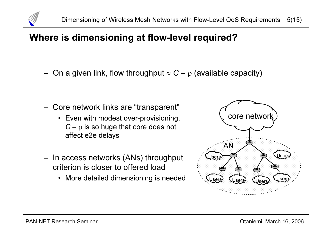

#### Where is dimensioning at flow-level required?

–On a given link, flow throughput  $\approx C - \rho$  (available capacity)

- Core network links are "transparent"
	- Even with modest over-provisioning,  $C - \rho$  is so huge that core does not affect e2e delays
- – In access networks (ANs) throughput criterion is closer to offered load
	- More detailed dimensioning is needed

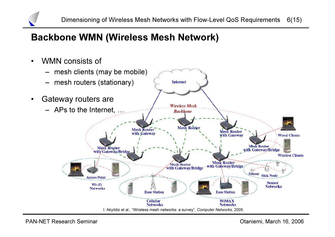

# Backbone WMN (Wireless Mesh Network)

•WMN consists of

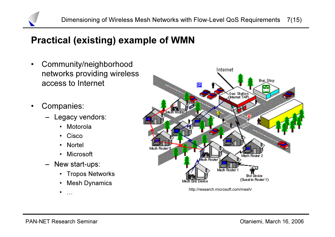

# Practical (existing) example of WMN

- • Community/neighborhood networks providing wireless access to Internet
- • Companies:
	- Legacy vendors:
		- Motorola
		- Cisco
		- Nortel
		- Microsoft
	- New start-ups:
		- Tropos Networks
		- Mesh Dynamics
		- •…



http://research.microsoft.com/mesh/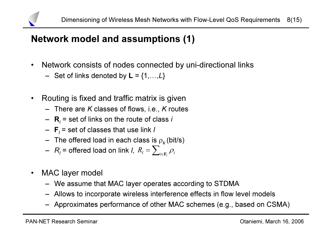

# Network model and assumptions (1)

- • Network consists of nodes connected by uni-directional links
	- $-$  Set of links denoted by  $\mathsf{L} = \{1, \ldots, L\}$
- • Routing is fixed and traffic matrix is given
	- $-$  There are K classes of flows, i.e., K routes
	- $\,$  **R** $_{i}$  = set of links on the route of class  $i$
	- $\,$  **F** $_{/}$ = set of classes that use link *l*
	- $-$  The offered load in each class is  $\rho_{\scriptscriptstyle K}^{}$ (bit/s)
	- $\,$   $R$ <sub>/</sub> = offered load on link *I*,  $\,$   $R$ <sub>/</sub> =  $\sum_{i\in R}$  $R_{_{l}} = \sum\nolimits_{i \in \mathbf{F}_{_{l}}} \rho_{_{i}}$
- $\bullet$  MAC layer model
	- We assume that MAC layer operates according to STDMA
	- Allows to incorporate wireless interference effects in flow level models
	- Approximates performance of other MAC schemes (e.g., based on CSMA)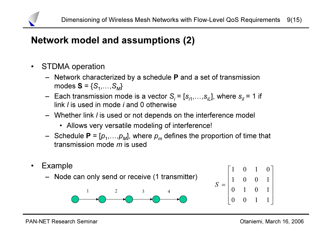

# Network model and assumptions (2)

- $\bullet$  STDMA operation
	- Network characterized by a schedule P and a set of transmission modes  $\textbf{S}$  =  $\{\mathcal{S}_1, \dots, \mathcal{S}_M\}$
	- $-$  Each transmission mode is a vector  $S_i = [s_{i1},...,s_{iL}]$ , where  $s_{ii}$  = 1 if link *l* is used in mode *i* and 0 otherwise
	- Whether link l is used or not depends on the interference model
		- Allows very versatile modeling of interference!
	- Schedule **P** = [ $p_1, \ldots, p_M$ ], where  $p_m$  defines the proportion of time that transmission mode *m* is used
- • Example – Node can only send or receive (1 transmitter) 1 2 3 4  $\overline{\phantom{a}}$  $\sqrt{2}$ = 0 0 1 1 0 1 0 1 1 0 0 1 1 0 1 0 S

 

 $\lceil$ 

 $\overline{\phantom{a}}$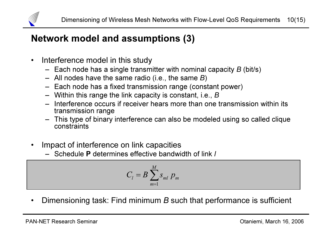

# Network model and assumptions (3)

- $\bullet$  Interference model in this study
	- $-$  Each node has a single transmitter with nominal capacity  $B$  (bit/s)
	- $-$  All nodes have the same radio (i.e., the same  $B)$
	- Each node has a fixed transmission range (constant power)
	- $-$  Within this range the link capacity is constant, i.e.,  $\bm{B}$
	- Interference occurs if receiver hears more than one transmission within its transmission range
	- This type of binary interference can also be modeled using so called clique constraints
- • Impact of interference on link capacities
	- Schedule P determines effective bandwidth of link l

$$
C_l = B \sum_{m=1}^{M} s_{ml} p_m
$$

•Dimensioning task: Find minimum B such that performance is sufficient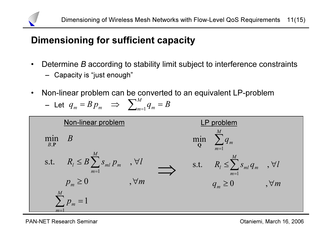

# Dimensioning for sufficient capacity

- •Determine B according to stability limit subject to interference constraints
	- Capacity is "just enough"
- •Non-linear problem can be converted to an equivalent LP-problem

- Let 
$$
q_m = B p_m
$$
  $\implies \sum_{m=1}^{M} q_m = B$ 



PAN-NET Research Seminar **PAN-NET Research Seminar** Channel Computer of the Channel Channel Channel Channel Channel Channel Channel Channel Channel Channel Channel Channel Channel Channel Channel Channel Channel Channel Ch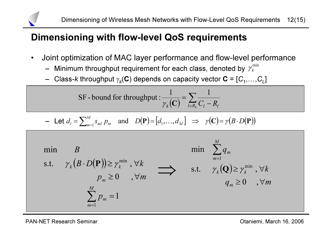

#### Dimensioning with flow-level QoS requirements

- • Joint optimization of MAC layer performance and flow-level performance
	- Minimum throughput requirement for each class, denoted by  $\operatorname{\gamma}_k^{\min}$
	- $\,$  Class- $k$  throughput  $\gamma _{\rm \bf k} ({\bf C})$  depends on capacity vector  ${\bf C} = \left[ {C_1 ,\ldots ,C_L } \right]$

SF - bound for throughput : 
$$
\frac{1}{\gamma_k(\mathbf{C})} = \sum_{l \in R_k} \frac{1}{C_l - R_l}
$$

- Let 
$$
d_l = \sum_{m=1}^{M} s_{ml} p_m
$$
 and  $D(\mathbf{P}) = [d_1, ..., d_M] \Rightarrow \gamma(\mathbf{C}) = \gamma(B \cdot D(\mathbf{P}))$ 

( ) ( ) 10 , s.t. , min1min=≥∀⋅ ≥∀∑=Mmmmkkp p mBDkBγ P<sup>γ</sup> ( ) q mkq mkkMmm≥∀≥∀∑=0 , s.t. , minmin1γ Q γ ⇒

PAN-NET Research Seminar **PAN-NET Research Seminar** Channel Channel Channel Channel Channel Channel Channel Channel Channel Channel Channel Channel Channel Channel Channel Channel Channel Channel Channel Channel Channel Ch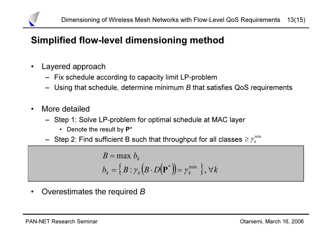

# Simplified flow-level dimensioning method

- • Layered approach
	- Fix schedule according to capacity limit LP-problem
	- $-$  Using that schedule, determine minimum  $B$  that satisfies QoS requirements
- • More detailed
	- Step 1: Solve LP-problem for optimal schedule at MAC layer
		- Denote the result by  $\mathsf{P}^{\star}$
	- $-$  Step 2: Find sufficient B such that throughput for all classes  $\geq \gamma_{k}^{\min}$

$$
B = \max b_k
$$
  

$$
b_k = \{ B : \gamma_k (B \cdot D(\mathbf{P}^*)) = \gamma_k^{\min} \}, \forall k
$$

 $\bullet$ Overestimates the required B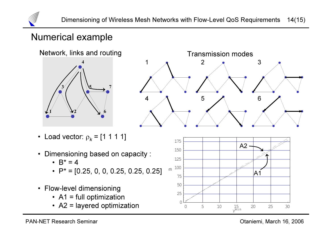

## Numerical example